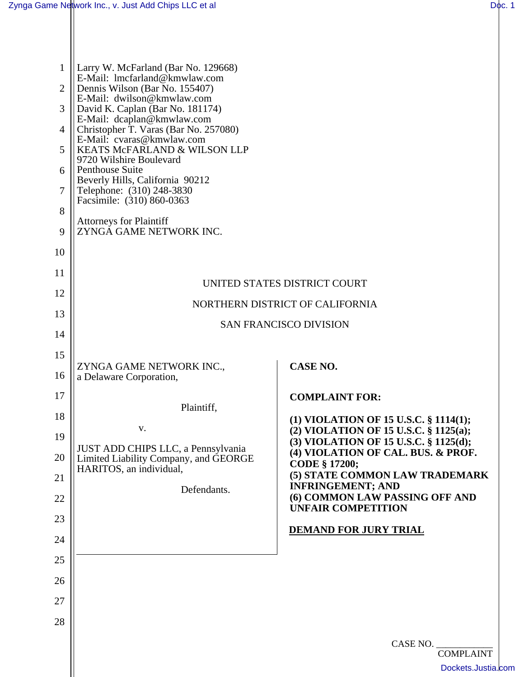| 1<br>$\overline{2}$<br>3<br>4<br>5<br>6<br>7<br>8<br>9<br>10 | Larry W. McFarland (Bar No. 129668)<br>E-Mail: lmcfarland@kmwlaw.com<br>Dennis Wilson (Bar No. 155407)<br>E-Mail: dwilson@kmwlaw.com<br>David K. Caplan (Bar No. 181174)<br>E-Mail: dcaplan@kmwlaw.com<br>Christopher T. Varas (Bar No. 257080)<br>E-Mail: cvaras@kmwlaw.com<br>KEATS McFARLAND & WILSON LLP<br>9720 Wilshire Boulevard<br>Penthouse Suite<br>Beverly Hills, California 90212<br>Telephone: (310) 248-3830<br>Facsimile: (310) 860-0363<br><b>Attorneys for Plaintiff</b><br>ZYNGA GAME NETWORK INC. |                                                                                |  |  |  |  |
|--------------------------------------------------------------|----------------------------------------------------------------------------------------------------------------------------------------------------------------------------------------------------------------------------------------------------------------------------------------------------------------------------------------------------------------------------------------------------------------------------------------------------------------------------------------------------------------------|--------------------------------------------------------------------------------|--|--|--|--|
| 11                                                           |                                                                                                                                                                                                                                                                                                                                                                                                                                                                                                                      | UNITED STATES DISTRICT COURT                                                   |  |  |  |  |
| 12                                                           | NORTHERN DISTRICT OF CALIFORNIA                                                                                                                                                                                                                                                                                                                                                                                                                                                                                      |                                                                                |  |  |  |  |
| 13                                                           | <b>SAN FRANCISCO DIVISION</b>                                                                                                                                                                                                                                                                                                                                                                                                                                                                                        |                                                                                |  |  |  |  |
| 14                                                           |                                                                                                                                                                                                                                                                                                                                                                                                                                                                                                                      |                                                                                |  |  |  |  |
| 15                                                           |                                                                                                                                                                                                                                                                                                                                                                                                                                                                                                                      |                                                                                |  |  |  |  |
| 16                                                           | ZYNGA GAME NETWORK INC.,<br>a Delaware Corporation,                                                                                                                                                                                                                                                                                                                                                                                                                                                                  | <b>CASE NO.</b>                                                                |  |  |  |  |
| 17                                                           | Plaintiff,                                                                                                                                                                                                                                                                                                                                                                                                                                                                                                           | <b>COMPLAINT FOR:</b>                                                          |  |  |  |  |
| 18                                                           |                                                                                                                                                                                                                                                                                                                                                                                                                                                                                                                      | (1) VIOLATION OF 15 U.S.C. § 1114(1);                                          |  |  |  |  |
| 19                                                           | V.                                                                                                                                                                                                                                                                                                                                                                                                                                                                                                                   | (2) VIOLATION OF 15 U.S.C. § 1125(a);<br>(3) VIOLATION OF 15 U.S.C. § 1125(d); |  |  |  |  |
| 20                                                           | JUST ADD CHIPS LLC, a Pennsylvania<br>Limited Liability Company, and GEORGE                                                                                                                                                                                                                                                                                                                                                                                                                                          | (4) VIOLATION OF CAL. BUS. & PROF.<br><b>CODE § 17200;</b>                     |  |  |  |  |
| 21                                                           | HARITOS, an individual,                                                                                                                                                                                                                                                                                                                                                                                                                                                                                              | (5) STATE COMMON LAW TRADEMARK                                                 |  |  |  |  |
| 22                                                           | Defendants.                                                                                                                                                                                                                                                                                                                                                                                                                                                                                                          | <b>INFRINGEMENT; AND</b><br>(6) COMMON LAW PASSING OFF AND                     |  |  |  |  |
| 23                                                           |                                                                                                                                                                                                                                                                                                                                                                                                                                                                                                                      | <b>UNFAIR COMPETITION</b>                                                      |  |  |  |  |
| 24                                                           |                                                                                                                                                                                                                                                                                                                                                                                                                                                                                                                      | <b>DEMAND FOR JURY TRIAL</b>                                                   |  |  |  |  |
| 25                                                           |                                                                                                                                                                                                                                                                                                                                                                                                                                                                                                                      |                                                                                |  |  |  |  |
| 26                                                           |                                                                                                                                                                                                                                                                                                                                                                                                                                                                                                                      |                                                                                |  |  |  |  |
| 27                                                           |                                                                                                                                                                                                                                                                                                                                                                                                                                                                                                                      |                                                                                |  |  |  |  |
| 28                                                           |                                                                                                                                                                                                                                                                                                                                                                                                                                                                                                                      |                                                                                |  |  |  |  |
|                                                              |                                                                                                                                                                                                                                                                                                                                                                                                                                                                                                                      | CASE NO.                                                                       |  |  |  |  |
|                                                              |                                                                                                                                                                                                                                                                                                                                                                                                                                                                                                                      |                                                                                |  |  |  |  |
|                                                              |                                                                                                                                                                                                                                                                                                                                                                                                                                                                                                                      | <b>COMPLAINT</b><br>Dockets.Justia.com                                         |  |  |  |  |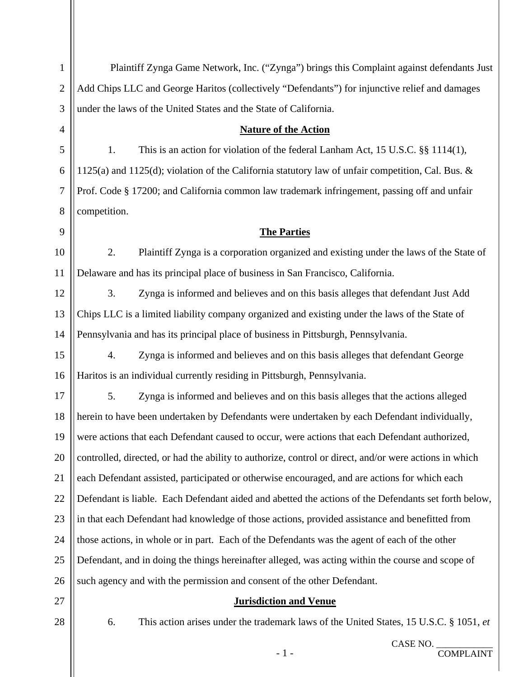| $\mathbf{1}$   | Plaintiff Zynga Game Network, Inc. ("Zynga") brings this Complaint against defendants Just             |  |  |
|----------------|--------------------------------------------------------------------------------------------------------|--|--|
| $\overline{2}$ | Add Chips LLC and George Haritos (collectively "Defendants") for injunctive relief and damages         |  |  |
| 3              | under the laws of the United States and the State of California.                                       |  |  |
| 4              | <b>Nature of the Action</b>                                                                            |  |  |
| 5              | 1.<br>This is an action for violation of the federal Lanham Act, 15 U.S.C. §§ 1114(1),                 |  |  |
| 6              | 1125(a) and 1125(d); violation of the California statutory law of unfair competition, Cal. Bus. &      |  |  |
| $\overline{7}$ | Prof. Code § 17200; and California common law trademark infringement, passing off and unfair           |  |  |
| 8              | competition.                                                                                           |  |  |
| 9              | <b>The Parties</b>                                                                                     |  |  |
| 10             | 2.<br>Plaintiff Zynga is a corporation organized and existing under the laws of the State of           |  |  |
| 11             | Delaware and has its principal place of business in San Francisco, California.                         |  |  |
| 12             | 3.<br>Zynga is informed and believes and on this basis alleges that defendant Just Add                 |  |  |
| 13             | Chips LLC is a limited liability company organized and existing under the laws of the State of         |  |  |
| 14             | Pennsylvania and has its principal place of business in Pittsburgh, Pennsylvania.                      |  |  |
| 15             | 4.<br>Zynga is informed and believes and on this basis alleges that defendant George                   |  |  |
| 16             | Haritos is an individual currently residing in Pittsburgh, Pennsylvania.                               |  |  |
| 17             | 5.<br>Zynga is informed and believes and on this basis alleges that the actions alleged                |  |  |
| 18             | herein to have been undertaken by Defendants were undertaken by each Defendant individually,           |  |  |
| 19             | were actions that each Defendant caused to occur, were actions that each Defendant authorized,         |  |  |
| 20             | controlled, directed, or had the ability to authorize, control or direct, and/or were actions in which |  |  |
| 21             | each Defendant assisted, participated or otherwise encouraged, and are actions for which each          |  |  |
| 22             | Defendant is liable. Each Defendant aided and abetted the actions of the Defendants set forth below,   |  |  |
| 23             | in that each Defendant had knowledge of those actions, provided assistance and benefitted from         |  |  |
| 24             | those actions, in whole or in part. Each of the Defendants was the agent of each of the other          |  |  |
| 25             | Defendant, and in doing the things hereinafter alleged, was acting within the course and scope of      |  |  |
| 26             | such agency and with the permission and consent of the other Defendant.                                |  |  |
| 27             | <b>Jurisdiction and Venue</b>                                                                          |  |  |
| 28             | 6.<br>This action arises under the trademark laws of the United States, 15 U.S.C. § 1051, et           |  |  |
|                |                                                                                                        |  |  |

- 1 -

CASE NO. \_\_\_\_\_\_\_\_\_\_\_\_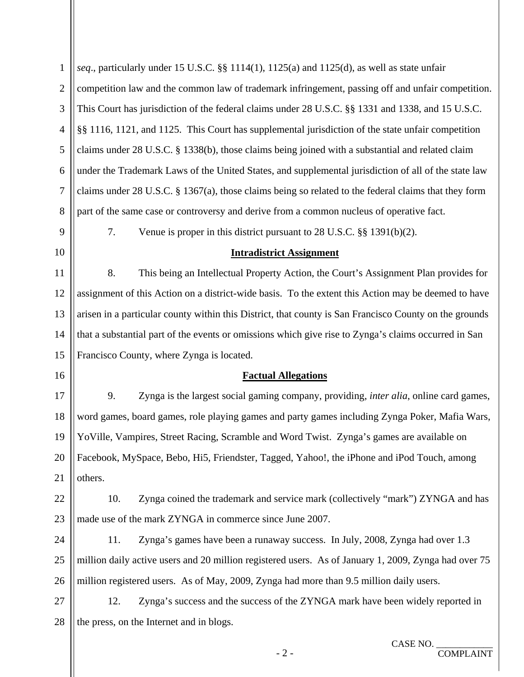| $\mathbf{1}$   | seq., particularly under 15 U.S.C. §§ 1114(1), 1125(a) and 1125(d), as well as state unfair            |  |  |  |
|----------------|--------------------------------------------------------------------------------------------------------|--|--|--|
| $\overline{2}$ | competition law and the common law of trademark infringement, passing off and unfair competition.      |  |  |  |
| 3              | This Court has jurisdiction of the federal claims under 28 U.S.C. §§ 1331 and 1338, and 15 U.S.C.      |  |  |  |
| $\overline{4}$ | §§ 1116, 1121, and 1125. This Court has supplemental jurisdiction of the state unfair competition      |  |  |  |
| 5              | claims under 28 U.S.C. § 1338(b), those claims being joined with a substantial and related claim       |  |  |  |
| 6              | under the Trademark Laws of the United States, and supplemental jurisdiction of all of the state law   |  |  |  |
| 7              | claims under 28 U.S.C. § 1367(a), those claims being so related to the federal claims that they form   |  |  |  |
| 8              | part of the same case or controversy and derive from a common nucleus of operative fact.               |  |  |  |
| 9              | Venue is proper in this district pursuant to 28 U.S.C. $\S$ 1391(b)(2).<br>7.                          |  |  |  |
| 10             | <b>Intradistrict Assignment</b>                                                                        |  |  |  |
| 11             | This being an Intellectual Property Action, the Court's Assignment Plan provides for<br>8.             |  |  |  |
| 12             | assignment of this Action on a district-wide basis. To the extent this Action may be deemed to have    |  |  |  |
| 13             | arisen in a particular county within this District, that county is San Francisco County on the grounds |  |  |  |
| 14             | that a substantial part of the events or omissions which give rise to Zynga's claims occurred in San   |  |  |  |
| 15             | Francisco County, where Zynga is located.                                                              |  |  |  |
| 16             | <b>Factual Allegations</b>                                                                             |  |  |  |
| 17             | Zynga is the largest social gaming company, providing, inter alia, online card games,<br>9.            |  |  |  |
| 18             | word games, board games, role playing games and party games including Zynga Poker, Mafia Wars,         |  |  |  |
| 19             | YoVille, Vampires, Street Racing, Scramble and Word Twist. Zynga's games are available on              |  |  |  |
| 20             | Facebook, MySpace, Bebo, Hi5, Friendster, Tagged, Yahoo!, the iPhone and iPod Touch, among             |  |  |  |
| 21             | others.                                                                                                |  |  |  |
| 22             | 10.<br>Zynga coined the trademark and service mark (collectively "mark") ZYNGA and has                 |  |  |  |
| 23             | made use of the mark ZYNGA in commerce since June 2007.                                                |  |  |  |
| 24             | 11.<br>Zynga's games have been a runaway success. In July, 2008, Zynga had over 1.3                    |  |  |  |
| 25             | million daily active users and 20 million registered users. As of January 1, 2009, Zynga had over 75   |  |  |  |
| 26             | million registered users. As of May, 2009, Zynga had more than 9.5 million daily users.                |  |  |  |
| 27             | Zynga's success and the success of the ZYNGA mark have been widely reported in<br>12.                  |  |  |  |
| 28             | the press, on the Internet and in blogs.                                                               |  |  |  |
|                | CASE NO. _<br>$-2-$<br><b>COMPLAINT</b>                                                                |  |  |  |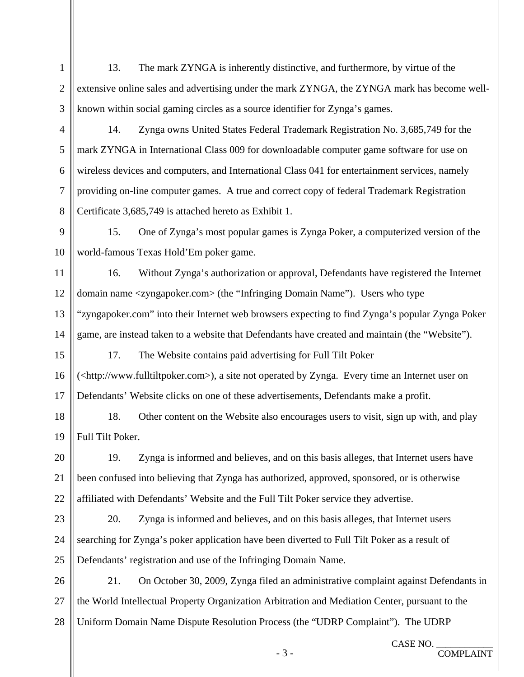13. The mark ZYNGA is inherently distinctive, and furthermore, by virtue of the extensive online sales and advertising under the mark ZYNGA, the ZYNGA mark has become wellknown within social gaming circles as a source identifier for Zynga's games.

1

2

4

5

6

7

8

3

14. Zynga owns United States Federal Trademark Registration No. 3,685,749 for the mark ZYNGA in International Class 009 for downloadable computer game software for use on wireless devices and computers, and International Class 041 for entertainment services, namely providing on-line computer games. A true and correct copy of federal Trademark Registration Certificate 3,685,749 is attached hereto as Exhibit 1.

9 10 15. One of Zynga's most popular games is Zynga Poker, a computerized version of the world-famous Texas Hold'Em poker game.

11 12 13 14 16. Without Zynga's authorization or approval, Defendants have registered the Internet domain name <zyngapoker.com> (the "Infringing Domain Name"). Users who type "zyngapoker.com" into their Internet web browsers expecting to find Zynga's popular Zynga Poker game, are instead taken to a website that Defendants have created and maintain (the "Website").

15 16 17 17. The Website contains paid advertising for Full Tilt Poker (<http://www.fulltiltpoker.com>), a site not operated by Zynga. Every time an Internet user on Defendants' Website clicks on one of these advertisements, Defendants make a profit.

18 19 18. Other content on the Website also encourages users to visit, sign up with, and play Full Tilt Poker.

20 21 22 19. Zynga is informed and believes, and on this basis alleges, that Internet users have been confused into believing that Zynga has authorized, approved, sponsored, or is otherwise affiliated with Defendants' Website and the Full Tilt Poker service they advertise.

23 24 25 20. Zynga is informed and believes, and on this basis alleges, that Internet users searching for Zynga's poker application have been diverted to Full Tilt Poker as a result of Defendants' registration and use of the Infringing Domain Name.

26 27 28 21. On October 30, 2009, Zynga filed an administrative complaint against Defendants in the World Intellectual Property Organization Arbitration and Mediation Center, pursuant to the Uniform Domain Name Dispute Resolution Process (the "UDRP Complaint"). The UDRP

- 3 -

COMPLAINT

CASE NO.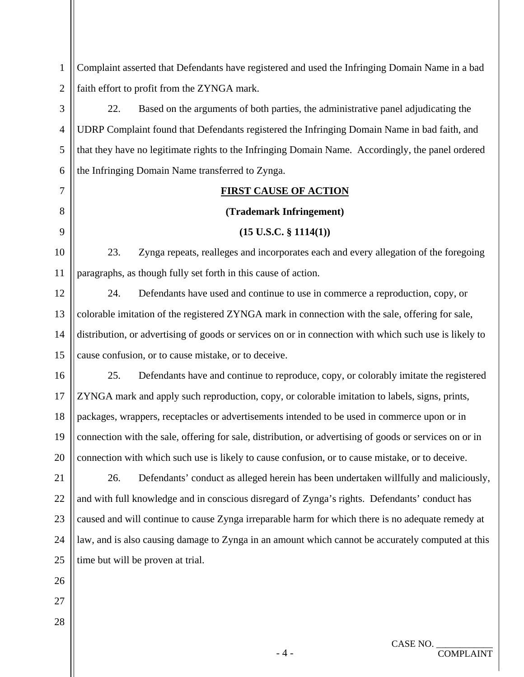1 2 Complaint asserted that Defendants have registered and used the Infringing Domain Name in a bad faith effort to profit from the ZYNGA mark. 3 7 8 9 10 12 16 21 26 22. Based on the arguments of both parties, the administrative panel adjudicating the UDRP Complaint found that Defendants registered the Infringing Domain Name in bad faith, and that they have no legitimate rights to the Infringing Domain Name. Accordingly, the panel ordered the Infringing Domain Name transferred to Zynga. 4 5 6 **FIRST CAUSE OF ACTION (Trademark Infringement) (15 U.S.C. § 1114(1))**  23. Zynga repeats, realleges and incorporates each and every allegation of the foregoing 11 paragraphs, as though fully set forth in this cause of action. 24. Defendants have used and continue to use in commerce a reproduction, copy, or colorable imitation of the registered ZYNGA mark in connection with the sale, offering for sale, distribution, or advertising of goods or services on or in connection with which such use is likely to cause confusion, or to cause mistake, or to deceive. 13 14 15 25. Defendants have and continue to reproduce, copy, or colorably imitate the registered ZYNGA mark and apply such reproduction, copy, or colorable imitation to labels, signs, prints, packages, wrappers, receptacles or advertisements intended to be used in commerce upon or in connection with the sale, offering for sale, distribution, or advertising of goods or services on or in connection with which such use is likely to cause confusion, or to cause mistake, or to deceive. 17 18 19 20 26. Defendants' conduct as alleged herein has been undertaken willfully and maliciously, and with full knowledge and in conscious disregard of Zynga's rights. Defendants' conduct has caused and will continue to cause Zynga irreparable harm for which there is no adequate remedy at law, and is also causing damage to Zynga in an amount which cannot be accurately computed at this time but will be proven at trial. 22 23 24 25

COMPLAINT

27

28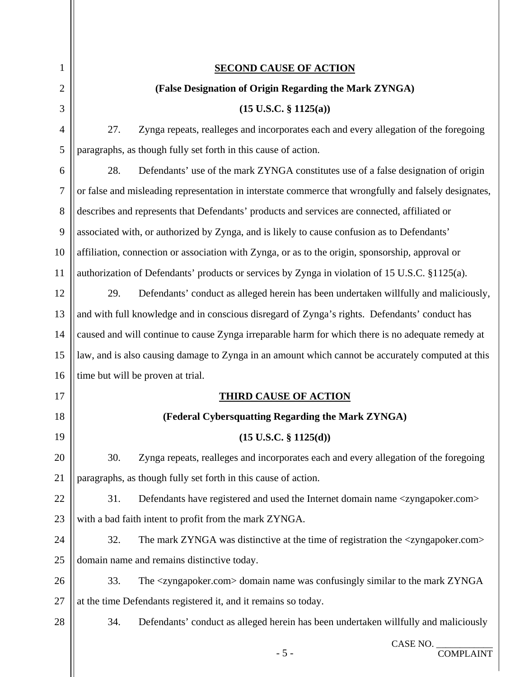| 1              | <b>SECOND CAUSE OF ACTION</b>                                                                           |  |  |
|----------------|---------------------------------------------------------------------------------------------------------|--|--|
| $\overline{2}$ | (False Designation of Origin Regarding the Mark ZYNGA)                                                  |  |  |
| 3              | $(15 \text{ U.S.C. } \S 1125(a))$                                                                       |  |  |
| 4              | 27.<br>Zynga repeats, realleges and incorporates each and every allegation of the foregoing             |  |  |
| 5              | paragraphs, as though fully set forth in this cause of action.                                          |  |  |
| 6              | 28.<br>Defendants' use of the mark ZYNGA constitutes use of a false designation of origin               |  |  |
| 7              | or false and misleading representation in interstate commerce that wrongfully and falsely designates,   |  |  |
| 8              | describes and represents that Defendants' products and services are connected, affiliated or            |  |  |
| 9              | associated with, or authorized by Zynga, and is likely to cause confusion as to Defendants'             |  |  |
| 10             | affiliation, connection or association with Zynga, or as to the origin, sponsorship, approval or        |  |  |
| 11             | authorization of Defendants' products or services by Zynga in violation of 15 U.S.C. §1125(a).          |  |  |
| 12             | 29.<br>Defendants' conduct as alleged herein has been undertaken willfully and maliciously,             |  |  |
| 13             | and with full knowledge and in conscious disregard of Zynga's rights. Defendants' conduct has           |  |  |
| 14             | caused and will continue to cause Zynga irreparable harm for which there is no adequate remedy at       |  |  |
| 15             | law, and is also causing damage to Zynga in an amount which cannot be accurately computed at this       |  |  |
| 16             | time but will be proven at trial.                                                                       |  |  |
| 17             | <b>THIRD CAUSE OF ACTION</b>                                                                            |  |  |
| 18             | (Federal Cybersquatting Regarding the Mark ZYNGA)                                                       |  |  |
| 19             | $(15 \text{ U.S.C. } § 1125(d))$                                                                        |  |  |
| 20             | 30.<br>Zynga repeats, realleges and incorporates each and every allegation of the foregoing             |  |  |
| 21             | paragraphs, as though fully set forth in this cause of action.                                          |  |  |
| 22             | Defendants have registered and used the Internet domain name <zyngapoker.com><br/>31.</zyngapoker.com>  |  |  |
| 23             | with a bad faith intent to profit from the mark ZYNGA.                                                  |  |  |
| 24             | 32.<br>The mark ZYNGA was distinctive at the time of registration the <zyngapoker.com></zyngapoker.com> |  |  |
| 25             | domain name and remains distinctive today.                                                              |  |  |
| 26             | 33.<br>The <zyngapoker.com> domain name was confusingly similar to the mark ZYNGA</zyngapoker.com>      |  |  |
| 27             | at the time Defendants registered it, and it remains so today.                                          |  |  |
| 28             | 34.<br>Defendants' conduct as alleged herein has been undertaken willfully and maliciously              |  |  |
|                | CASE NO.<br>$-5-$<br><b>COMPLAINT</b>                                                                   |  |  |

 $\parallel$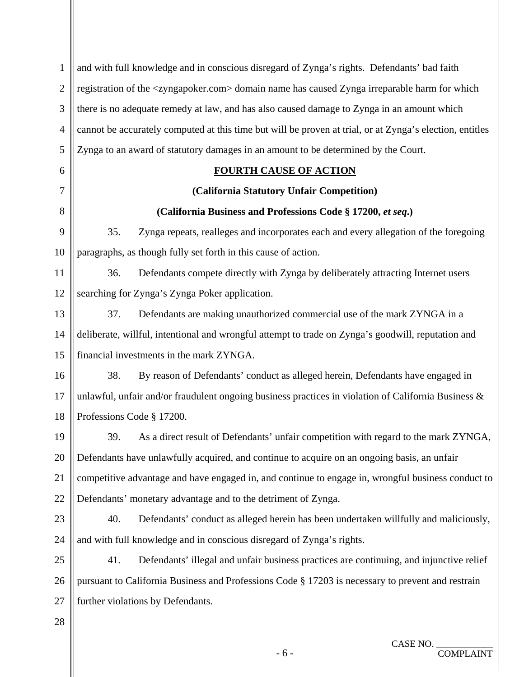| $\mathbf{1}$   | and with full knowledge and in conscious disregard of Zynga's rights. Defendants' bad faith                   |  |  |  |
|----------------|---------------------------------------------------------------------------------------------------------------|--|--|--|
| $\overline{2}$ | registration of the <zyngapoker.com> domain name has caused Zynga irreparable harm for which</zyngapoker.com> |  |  |  |
| 3              | there is no adequate remedy at law, and has also caused damage to Zynga in an amount which                    |  |  |  |
| $\overline{4}$ | cannot be accurately computed at this time but will be proven at trial, or at Zynga's election, entitles      |  |  |  |
| 5              | Zynga to an award of statutory damages in an amount to be determined by the Court.                            |  |  |  |
| 6              | <b>FOURTH CAUSE OF ACTION</b>                                                                                 |  |  |  |
| $\tau$         | (California Statutory Unfair Competition)                                                                     |  |  |  |
| 8              | (California Business and Professions Code § 17200, et seq.)                                                   |  |  |  |
| 9              | 35.<br>Zynga repeats, realleges and incorporates each and every allegation of the foregoing                   |  |  |  |
| 10             | paragraphs, as though fully set forth in this cause of action.                                                |  |  |  |
| 11             | 36.<br>Defendants compete directly with Zynga by deliberately attracting Internet users                       |  |  |  |
| 12             | searching for Zynga's Zynga Poker application.                                                                |  |  |  |
| 13             | 37.<br>Defendants are making unauthorized commercial use of the mark ZYNGA in a                               |  |  |  |
| 14             | deliberate, willful, intentional and wrongful attempt to trade on Zynga's goodwill, reputation and            |  |  |  |
| 15             | financial investments in the mark ZYNGA.                                                                      |  |  |  |
| 16             | By reason of Defendants' conduct as alleged herein, Defendants have engaged in<br>38.                         |  |  |  |
| 17             | unlawful, unfair and/or fraudulent ongoing business practices in violation of California Business $\&$        |  |  |  |
| 18             | Professions Code § 17200.                                                                                     |  |  |  |
| 19             | As a direct result of Defendants' unfair competition with regard to the mark ZYNGA<br>39.                     |  |  |  |
| 20             | Defendants have unlawfully acquired, and continue to acquire on an ongoing basis, an unfair                   |  |  |  |
| 21             | competitive advantage and have engaged in, and continue to engage in, wrongful business conduct to            |  |  |  |
| 22             | Defendants' monetary advantage and to the detriment of Zynga.                                                 |  |  |  |
| 23             | 40.<br>Defendants' conduct as alleged herein has been undertaken willfully and maliciously,                   |  |  |  |
| 24             | and with full knowledge and in conscious disregard of Zynga's rights.                                         |  |  |  |
| 25             | Defendants' illegal and unfair business practices are continuing, and injunctive relief<br>41.                |  |  |  |
| 26             | pursuant to California Business and Professions Code § 17203 is necessary to prevent and restrain             |  |  |  |
| 27             | further violations by Defendants.                                                                             |  |  |  |
| 28             |                                                                                                               |  |  |  |
|                | CASE NO.                                                                                                      |  |  |  |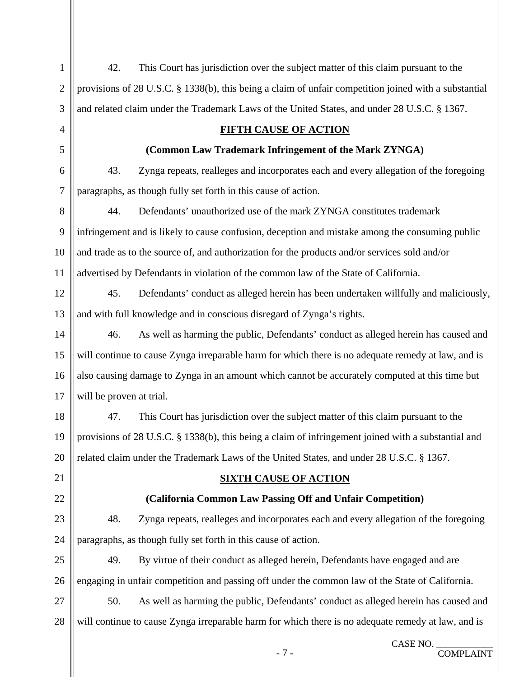| $\mathbf{1}$   | 42.<br>This Court has jurisdiction over the subject matter of this claim pursuant to the              |  |  |
|----------------|-------------------------------------------------------------------------------------------------------|--|--|
| $\overline{2}$ | provisions of 28 U.S.C. § 1338(b), this being a claim of unfair competition joined with a substantial |  |  |
| 3              | and related claim under the Trademark Laws of the United States, and under 28 U.S.C. § 1367.          |  |  |
| 4              | <b>FIFTH CAUSE OF ACTION</b>                                                                          |  |  |
| 5              | (Common Law Trademark Infringement of the Mark ZYNGA)                                                 |  |  |
| 6              | 43.<br>Zynga repeats, realleges and incorporates each and every allegation of the foregoing           |  |  |
| $\tau$         | paragraphs, as though fully set forth in this cause of action.                                        |  |  |
| 8              | Defendants' unauthorized use of the mark ZYNGA constitutes trademark<br>44.                           |  |  |
| 9              | infringement and is likely to cause confusion, deception and mistake among the consuming public       |  |  |
| 10             | and trade as to the source of, and authorization for the products and/or services sold and/or         |  |  |
| 11             | advertised by Defendants in violation of the common law of the State of California.                   |  |  |
| 12             | 45.<br>Defendants' conduct as alleged herein has been undertaken willfully and maliciously,           |  |  |
| 13             | and with full knowledge and in conscious disregard of Zynga's rights.                                 |  |  |
| 14             | 46.<br>As well as harming the public, Defendants' conduct as alleged herein has caused and            |  |  |
| 15             | will continue to cause Zynga irreparable harm for which there is no adequate remedy at law, and is    |  |  |
| 16             | also causing damage to Zynga in an amount which cannot be accurately computed at this time but        |  |  |
| 17             | will be proven at trial.                                                                              |  |  |
| 18             | This Court has jurisdiction over the subject matter of this claim pursuant to the<br>47.              |  |  |
| 19             | provisions of 28 U.S.C. § 1338(b), this being a claim of infringement joined with a substantial and   |  |  |
| 20             | related claim under the Trademark Laws of the United States, and under 28 U.S.C. § 1367.              |  |  |
| 21             | <b>SIXTH CAUSE OF ACTION</b>                                                                          |  |  |
| 22             | (California Common Law Passing Off and Unfair Competition)                                            |  |  |
| 23             | 48.<br>Zynga repeats, realleges and incorporates each and every allegation of the foregoing           |  |  |
| 24             | paragraphs, as though fully set forth in this cause of action.                                        |  |  |
| 25             | 49.<br>By virtue of their conduct as alleged herein, Defendants have engaged and are                  |  |  |
| 26             | engaging in unfair competition and passing off under the common law of the State of California.       |  |  |
| 27             | As well as harming the public, Defendants' conduct as alleged herein has caused and<br>50.            |  |  |
| 28             | will continue to cause Zynga irreparable harm for which there is no adequate remedy at law, and is    |  |  |
|                |                                                                                                       |  |  |

CASE NO. \_\_\_\_\_\_\_\_\_\_\_\_ - 7 - COMPLAINT

- 7 -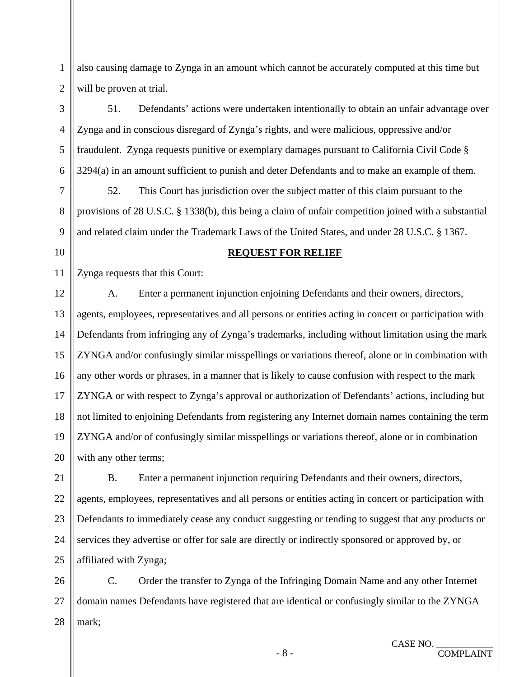also causing damage to Zynga in an amount which cannot be accurately computed at this time but will be proven at trial.

3 51. Defendants' actions were undertaken intentionally to obtain an unfair advantage over Zynga and in conscious disregard of Zynga's rights, and were malicious, oppressive and/or fraudulent. Zynga requests punitive or exemplary damages pursuant to California Civil Code § 3294(a) in an amount sufficient to punish and deter Defendants and to make an example of them. 4 5 6

52. This Court has jurisdiction over the subject matter of this claim pursuant to the provisions of 28 U.S.C. § 1338(b), this being a claim of unfair competition joined with a substantial and related claim under the Trademark Laws of the United States, and under 28 U.S.C. § 1367.

#### **REQUEST FOR RELIEF**

11 Zynga requests that this Court:

1

2

7

8

9

10

12 A. Enter a permanent injunction enjoining Defendants and their owners, directors, agents, employees, representatives and all persons or entities acting in concert or participation with Defendants from infringing any of Zynga's trademarks, including without limitation using the mark ZYNGA and/or confusingly similar misspellings or variations thereof, alone or in combination with any other words or phrases, in a manner that is likely to cause confusion with respect to the mark ZYNGA or with respect to Zynga's approval or authorization of Defendants' actions, including but not limited to enjoining Defendants from registering any Internet domain names containing the term ZYNGA and/or of confusingly similar misspellings or variations thereof, alone or in combination with any other terms; 13 14 15 16 17 18 19 20

21 B. Enter a permanent injunction requiring Defendants and their owners, directors, agents, employees, representatives and all persons or entities acting in concert or participation with Defendants to immediately cease any conduct suggesting or tending to suggest that any products or services they advertise or offer for sale are directly or indirectly sponsored or approved by, or affiliated with Zynga; 22 23 24 25

26 C. Order the transfer to Zynga of the Infringing Domain Name and any other Internet domain names Defendants have registered that are identical or confusingly similar to the ZYNGA mark; 27 28

COMPLAINT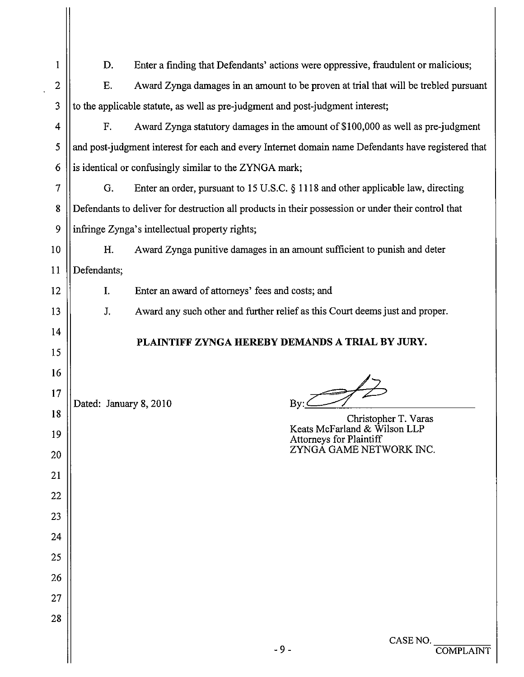| 1        | D.                                                                                                 | Enter a finding that Defendants' actions were oppressive, fraudulent or malicious;                 |  |  |
|----------|----------------------------------------------------------------------------------------------------|----------------------------------------------------------------------------------------------------|--|--|
| 2        | Ε.                                                                                                 | Award Zynga damages in an amount to be proven at trial that will be trebled pursuant               |  |  |
| 3        | to the applicable statute, as well as pre-judgment and post-judgment interest;                     |                                                                                                    |  |  |
| 4        | F.                                                                                                 | Award Zynga statutory damages in the amount of \$100,000 as well as pre-judgment                   |  |  |
| 5        |                                                                                                    | and post-judgment interest for each and every Internet domain name Defendants have registered that |  |  |
| 6        |                                                                                                    | is identical or confusingly similar to the ZYNGA mark;                                             |  |  |
| 7        | G.                                                                                                 | Enter an order, pursuant to 15 U.S.C. § 1118 and other applicable law, directing                   |  |  |
| 8        | Defendants to deliver for destruction all products in their possession or under their control that |                                                                                                    |  |  |
| 9        | infringe Zynga's intellectual property rights;                                                     |                                                                                                    |  |  |
| 10       | H.                                                                                                 | Award Zynga punitive damages in an amount sufficient to punish and deter                           |  |  |
| 11       | Defendants;                                                                                        |                                                                                                    |  |  |
| 12       | I.                                                                                                 | Enter an award of attorneys' fees and costs; and                                                   |  |  |
| 13       | J.                                                                                                 | Award any such other and further relief as this Court deems just and proper.                       |  |  |
| 14       |                                                                                                    | PLAINTIFF ZYNGA HEREBY DEMANDS A TRIAL BY JURY.                                                    |  |  |
| 15       |                                                                                                    |                                                                                                    |  |  |
| 16       |                                                                                                    |                                                                                                    |  |  |
| 17       |                                                                                                    | Dated: January 8, 2010                                                                             |  |  |
| 18<br>19 |                                                                                                    | Christopher T. Varas<br>Keats McFarland & Wilson LLP<br>Attorneys for Plaintiff                    |  |  |
| 20       |                                                                                                    | ZYNGÁ GAME NETWORK INC.                                                                            |  |  |
| 21       |                                                                                                    |                                                                                                    |  |  |
| 22       |                                                                                                    |                                                                                                    |  |  |
| 23       |                                                                                                    |                                                                                                    |  |  |
| 24       |                                                                                                    |                                                                                                    |  |  |
| 25       |                                                                                                    |                                                                                                    |  |  |
| 26       |                                                                                                    |                                                                                                    |  |  |
| 27       |                                                                                                    |                                                                                                    |  |  |
|          |                                                                                                    |                                                                                                    |  |  |
| 28       |                                                                                                    |                                                                                                    |  |  |

Н

 $\ddot{\phantom{a}}$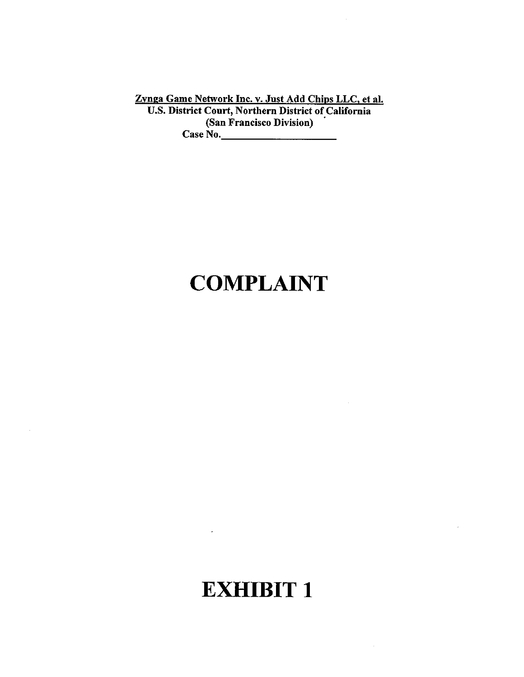Zynga Game Network Inc. v. Just Add Chips LLC, et al.<br>U.S. District Court, Northern District of California (San Francisco Division) Case No.

### **COMPLAINT**

 $\mathcal{L}_{\mathcal{A}}$ 

#### **EXHIBIT 1**

 $\sim 10^{-10}$